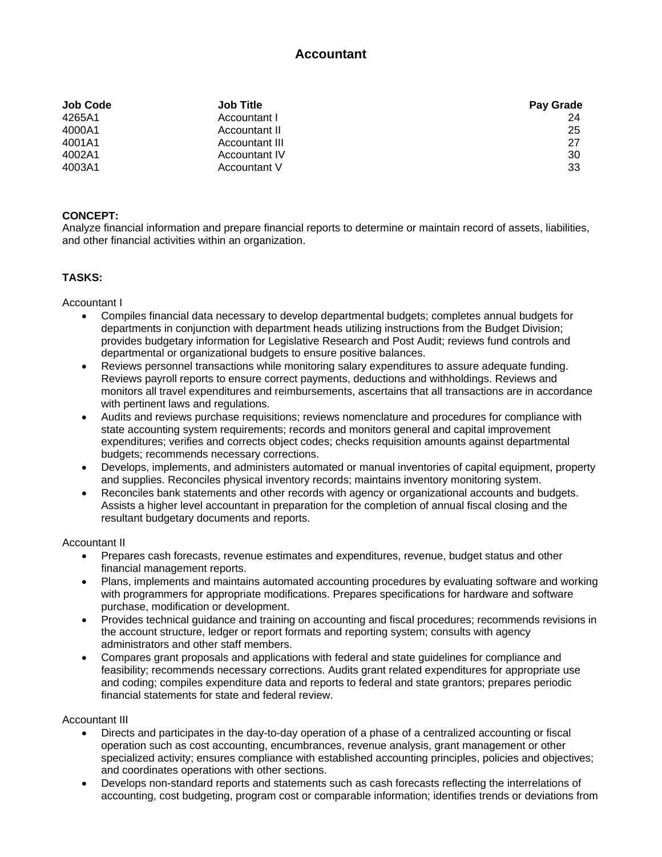# **Accountant**

| <b>Job Code</b> | <b>Job Title</b>     | <b>Pay Grade</b> |
|-----------------|----------------------|------------------|
| 4265A1          | Accountant I         | 24               |
| 4000A1          | Accountant II        | 25               |
| 4001A1          | Accountant III       | 27               |
| 4002A1          | <b>Accountant IV</b> | 30               |
| 4003A1          | Accountant V         | 33               |

# **CONCEPT:**

Analyze financial information and prepare financial reports to determine or maintain record of assets, liabilities, and other financial activities within an organization.

# **TASKS:**

Accountant I

- Compiles financial data necessary to develop departmental budgets; completes annual budgets for departments in conjunction with department heads utilizing instructions from the Budget Division; provides budgetary information for Legislative Research and Post Audit; reviews fund controls and departmental or organizational budgets to ensure positive balances.
- Reviews personnel transactions while monitoring salary expenditures to assure adequate funding. Reviews payroll reports to ensure correct payments, deductions and withholdings. Reviews and monitors all travel expenditures and reimbursements, ascertains that all transactions are in accordance with pertinent laws and regulations.
- Audits and reviews purchase requisitions; reviews nomenclature and procedures for compliance with state accounting system requirements; records and monitors general and capital improvement expenditures; verifies and corrects object codes; checks requisition amounts against departmental budgets; recommends necessary corrections.
- Develops, implements, and administers automated or manual inventories of capital equipment, property and supplies. Reconciles physical inventory records; maintains inventory monitoring system.
- Reconciles bank statements and other records with agency or organizational accounts and budgets. Assists a higher level accountant in preparation for the completion of annual fiscal closing and the resultant budgetary documents and reports.

#### Accountant II

- Prepares cash forecasts, revenue estimates and expenditures, revenue, budget status and other financial management reports.
- Plans, implements and maintains automated accounting procedures by evaluating software and working with programmers for appropriate modifications. Prepares specifications for hardware and software purchase, modification or development.
- Provides technical guidance and training on accounting and fiscal procedures; recommends revisions in the account structure, ledger or report formats and reporting system; consults with agency administrators and other staff members.
- Compares grant proposals and applications with federal and state guidelines for compliance and feasibility; recommends necessary corrections. Audits grant related expenditures for appropriate use and coding; compiles expenditure data and reports to federal and state grantors; prepares periodic financial statements for state and federal review.

#### Accountant III

- Directs and participates in the day-to-day operation of a phase of a centralized accounting or fiscal operation such as cost accounting, encumbrances, revenue analysis, grant management or other specialized activity; ensures compliance with established accounting principles, policies and objectives; and coordinates operations with other sections.
- Develops non-standard reports and statements such as cash forecasts reflecting the interrelations of accounting, cost budgeting, program cost or comparable information; identifies trends or deviations from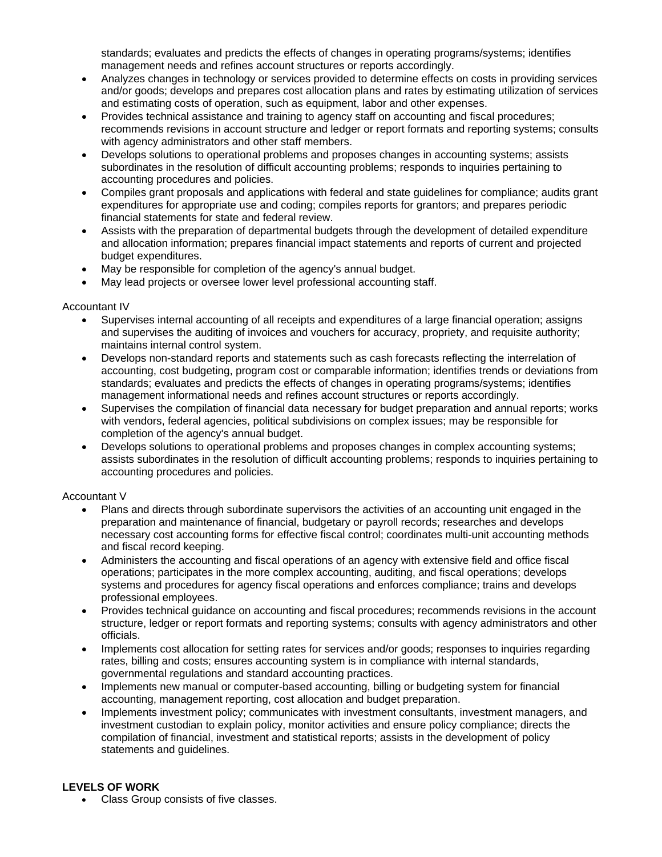standards; evaluates and predicts the effects of changes in operating programs/systems; identifies management needs and refines account structures or reports accordingly.

- Analyzes changes in technology or services provided to determine effects on costs in providing services and/or goods; develops and prepares cost allocation plans and rates by estimating utilization of services and estimating costs of operation, such as equipment, labor and other expenses.
- Provides technical assistance and training to agency staff on accounting and fiscal procedures; recommends revisions in account structure and ledger or report formats and reporting systems; consults with agency administrators and other staff members.
- Develops solutions to operational problems and proposes changes in accounting systems; assists subordinates in the resolution of difficult accounting problems; responds to inquiries pertaining to accounting procedures and policies.
- Compiles grant proposals and applications with federal and state guidelines for compliance; audits grant expenditures for appropriate use and coding; compiles reports for grantors; and prepares periodic financial statements for state and federal review.
- Assists with the preparation of departmental budgets through the development of detailed expenditure and allocation information; prepares financial impact statements and reports of current and projected budget expenditures.
- May be responsible for completion of the agency's annual budget.
- May lead projects or oversee lower level professional accounting staff.

## Accountant IV

- Supervises internal accounting of all receipts and expenditures of a large financial operation; assigns and supervises the auditing of invoices and vouchers for accuracy, propriety, and requisite authority; maintains internal control system.
- Develops non-standard reports and statements such as cash forecasts reflecting the interrelation of accounting, cost budgeting, program cost or comparable information; identifies trends or deviations from standards; evaluates and predicts the effects of changes in operating programs/systems; identifies management informational needs and refines account structures or reports accordingly.
- Supervises the compilation of financial data necessary for budget preparation and annual reports; works with vendors, federal agencies, political subdivisions on complex issues; may be responsible for completion of the agency's annual budget.
- Develops solutions to operational problems and proposes changes in complex accounting systems; assists subordinates in the resolution of difficult accounting problems; responds to inquiries pertaining to accounting procedures and policies.

## Accountant V

- Plans and directs through subordinate supervisors the activities of an accounting unit engaged in the preparation and maintenance of financial, budgetary or payroll records; researches and develops necessary cost accounting forms for effective fiscal control; coordinates multi-unit accounting methods and fiscal record keeping.
- Administers the accounting and fiscal operations of an agency with extensive field and office fiscal operations; participates in the more complex accounting, auditing, and fiscal operations; develops systems and procedures for agency fiscal operations and enforces compliance; trains and develops professional employees.
- Provides technical guidance on accounting and fiscal procedures; recommends revisions in the account structure, ledger or report formats and reporting systems; consults with agency administrators and other officials.
- Implements cost allocation for setting rates for services and/or goods; responses to inquiries regarding rates, billing and costs; ensures accounting system is in compliance with internal standards, governmental regulations and standard accounting practices.
- Implements new manual or computer-based accounting, billing or budgeting system for financial accounting, management reporting, cost allocation and budget preparation.
- Implements investment policy; communicates with investment consultants, investment managers, and investment custodian to explain policy, monitor activities and ensure policy compliance; directs the compilation of financial, investment and statistical reports; assists in the development of policy statements and guidelines.

## **LEVELS OF WORK**

Class Group consists of five classes.